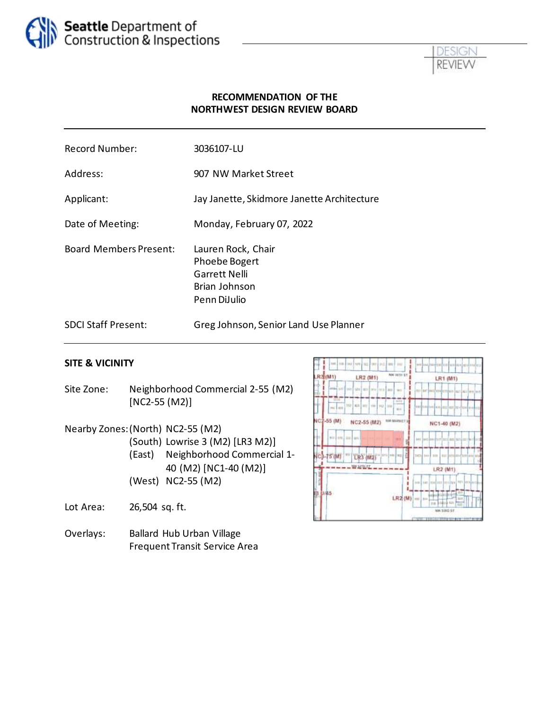



### **RECOMMENDATION OF THE NORTHWEST DESIGN REVIEW BOARD**

| <b>Record Number:</b>         | 3036107-LU                                                                                   |
|-------------------------------|----------------------------------------------------------------------------------------------|
| Address:                      | 907 NW Market Street                                                                         |
| Applicant:                    | Jay Janette, Skidmore Janette Architecture                                                   |
| Date of Meeting:              | Monday, February 07, 2022                                                                    |
| <b>Board Members Present:</b> | Lauren Rock, Chair<br>Phoebe Bogert<br><b>Garrett Nelli</b><br>Brian Johnson<br>Penn DiJulio |
| <b>SDCI Staff Present:</b>    | Greg Johnson, Senior Land Use Planner                                                        |

#### **SITE & VICINITY**

- Site Zone: Neighborhood Commercial 2-55 (M2) [NC2-55 (M2)]
- Nearby Zones:(North) NC2-55 (M2) (South) Lowrise 3 (M2) [LR3 M2)]
	- (East) Neighborhood Commercial 1- 40 (M2) [NC1-40 (M2)] (West) NC2-55 (M2)
- Lot Area: 26,504 sq. ft.
- Overlays: Ballard Hub Urban Village Frequent Transit Service Area

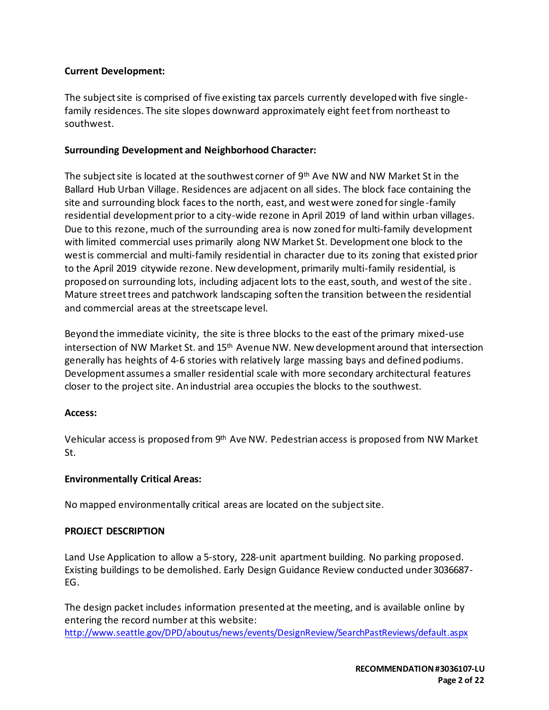### **Current Development:**

The subject site is comprised of five existing tax parcels currently developed with five singlefamily residences. The site slopes downward approximately eight feet from northeast to southwest.

#### **Surrounding Development and Neighborhood Character:**

The subject site is located at the southwest corner of 9<sup>th</sup> Ave NW and NW Market St in the Ballard Hub Urban Village. Residences are adjacent on all sides. The block face containing the site and surrounding block faces to the north, east, and west were zoned for single-family residential development prior to a city-wide rezone in April 2019 of land within urban villages. Due to this rezone, much of the surrounding area is now zoned for multi-family development with limited commercial uses primarily along NW Market St. Development one block to the west is commercial and multi-family residential in character due to its zoning that existed prior to the April 2019 citywide rezone. New development, primarily multi-family residential, is proposed on surrounding lots, including adjacent lots to the east, south, and west of the site . Mature street trees and patchwork landscaping soften the transition between the residential and commercial areas at the streetscape level.

Beyond the immediate vicinity, the site is three blocks to the east of the primary mixed-use intersection of NW Market St. and  $15<sup>th</sup>$  Avenue NW. New development around that intersection generally has heights of 4-6 stories with relatively large massing bays and defined podiums. Development assumes a smaller residential scale with more secondary architectural features closer to the project site. An industrial area occupies the blocks to the southwest.

#### **Access:**

Vehicular access is proposed from 9<sup>th</sup> Ave NW. Pedestrian access is proposed from NW Market St.

# **Environmentally Critical Areas:**

No mapped environmentally critical areas are located on the subject site.

#### **PROJECT DESCRIPTION**

Land Use Application to allow a 5-story, 228-unit apartment building. No parking proposed. Existing buildings to be demolished. Early Design Guidance Review conducted under 3036687- EG.

The design packet includes information presented at the meeting, and is available online by entering the record number at this website: <http://www.seattle.gov/DPD/aboutus/news/events/DesignReview/SearchPastReviews/default.aspx>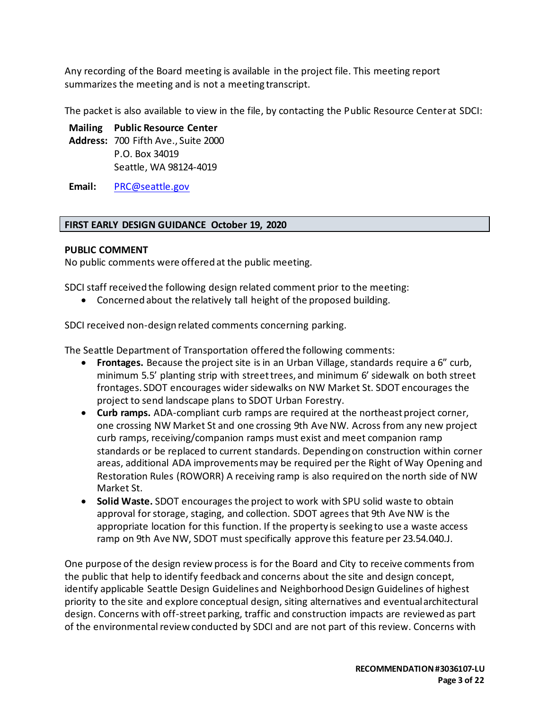Any recording of the Board meeting is available in the project file. This meeting report summarizes the meeting and is not a meeting transcript.

The packet is also available to view in the file, by contacting the Public Resource Center at SDCI:

**Mailing Public Resource Center**

**Address:** 700 Fifth Ave., Suite 2000 P.O. Box 34019 Seattle, WA 98124-4019

**Email:** [PRC@seattle.gov](mailto:PRC@seattle.gov)

# **FIRST EARLY DESIGN GUIDANCE October 19, 2020**

### **PUBLIC COMMENT**

No public comments were offered at the public meeting.

SDCI staff received the following design related comment prior to the meeting:

• Concerned about the relatively tall height of the proposed building.

SDCI received non-design related comments concerning parking.

The Seattle Department of Transportation offered the following comments:

- **Frontages.** Because the project site is in an Urban Village, standards require a 6" curb, minimum 5.5' planting strip with street trees, and minimum 6' sidewalk on both street frontages. SDOT encourages wider sidewalks on NW Market St. SDOT encourages the project to send landscape plans to SDOT Urban Forestry.
- **Curb ramps.** ADA-compliant curb ramps are required at the northeast project corner, one crossing NW Market St and one crossing 9th Ave NW. Across from any new project curb ramps, receiving/companion ramps must exist and meet companion ramp standards or be replaced to current standards. Depending on construction within corner areas, additional ADA improvements may be required per the Right of Way Opening and Restoration Rules (ROWORR) A receiving ramp is also required on the north side of NW Market St.
- **Solid Waste.** SDOT encourages the project to work with SPU solid waste to obtain approval for storage, staging, and collection. SDOT agrees that 9th Ave NW is the appropriate location for this function. If the property is seeking to use a waste access ramp on 9th Ave NW, SDOT must specifically approve this feature per 23.54.040.J.

One purpose of the design review process is for the Board and City to receive comments from the public that help to identify feedback and concerns about the site and design concept, identify applicable Seattle Design Guidelines and Neighborhood Design Guidelines of highest priority to the site and explore conceptual design, siting alternatives and eventual architectural design. Concerns with off-street parking, traffic and construction impacts are reviewed as part of the environmental review conducted by SDCI and are not part of this review. Concerns with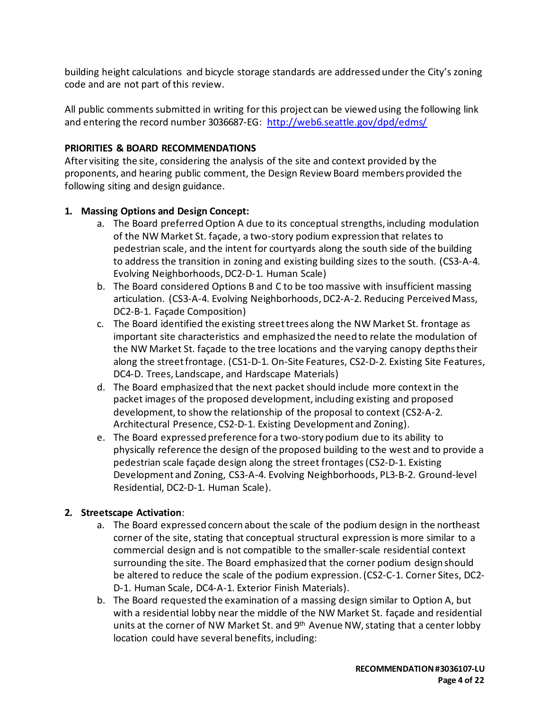building height calculations and bicycle storage standards are addressed under the City's zoning code and are not part of this review.

All public comments submitted in writing for this project can be viewed using the following link and entering the record number 3036687-EG:<http://web6.seattle.gov/dpd/edms/>

### **PRIORITIES & BOARD RECOMMENDATIONS**

After visiting the site, considering the analysis of the site and context provided by the proponents, and hearing public comment, the Design Review Board members provided the following siting and design guidance.

### **1. Massing Options and Design Concept:**

- a. The Board preferred Option A due to its conceptual strengths, including modulation of the NW Market St. façade, a two-story podium expression that relates to pedestrian scale, and the intent for courtyards along the south side of the building to address the transition in zoning and existing building sizes to the south. (CS3-A-4. Evolving Neighborhoods, DC2-D-1. Human Scale)
- b. The Board considered Options B and C to be too massive with insufficient massing articulation. (CS3-A-4. Evolving Neighborhoods, DC2-A-2. Reducing Perceived Mass, DC2-B-1. Façade Composition)
- c. The Board identified the existing street trees along the NW Market St. frontage as important site characteristics and emphasized the need to relate the modulation of the NW Market St. façade to the tree locations and the varying canopy depths their along the street frontage. (CS1-D-1. On-Site Features, CS2-D-2. Existing Site Features, DC4-D. Trees, Landscape, and Hardscape Materials)
- d. The Board emphasized that the next packet should include more context in the packet images of the proposed development, including existing and proposed development, to show the relationship of the proposal to context (CS2-A-2. Architectural Presence, CS2-D-1. Existing Development and Zoning).
- e. The Board expressed preference for a two-story podium due to its ability to physically reference the design of the proposed building to the west and to provide a pedestrian scale façade design along the street frontages(CS2-D-1. Existing Development and Zoning, CS3-A-4. Evolving Neighborhoods, PL3-B-2. Ground-level Residential, DC2-D-1. Human Scale).

#### **2. Streetscape Activation**:

- a. The Board expressed concern about the scale of the podium design in the northeast corner of the site, stating that conceptual structural expression is more similar to a commercial design and is not compatible to the smaller-scale residential context surrounding the site. The Board emphasized that the corner podium design should be altered to reduce the scale of the podium expression. (CS2-C-1. Corner Sites, DC2- D-1. Human Scale, DC4-A-1. Exterior Finish Materials).
- b. The Board requested the examination of a massing design similar to Option A, but with a residential lobby near the middle of the NW Market St. façade and residential units at the corner of NW Market St. and 9<sup>th</sup> Avenue NW, stating that a center lobby location could have several benefits, including: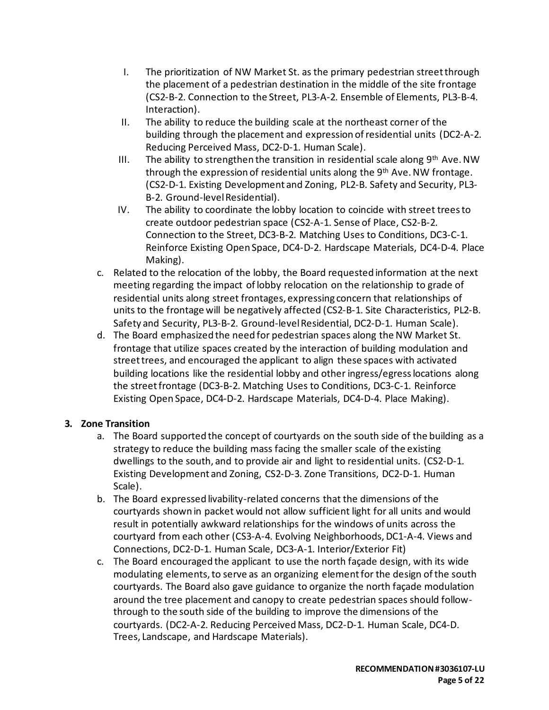- I. The prioritization of NW Market St. as the primary pedestrian street through the placement of a pedestrian destination in the middle of the site frontage (CS2-B-2. Connection to the Street, PL3-A-2. Ensemble of Elements, PL3-B-4. Interaction).
- II. The ability to reduce the building scale at the northeast corner of the building through the placement and expression of residential units (DC2-A-2. Reducing Perceived Mass, DC2-D-1. Human Scale).
- III. The ability to strengthen the transition in residential scale along  $9<sup>th</sup>$  Ave. NW through the expression of residential units along the 9<sup>th</sup> Ave. NW frontage. (CS2-D-1. Existing Development and Zoning, PL2-B. Safety and Security, PL3- B-2. Ground-level Residential).
- IV. The ability to coordinate the lobby location to coincide with street trees to create outdoor pedestrian space (CS2-A-1. Sense of Place, CS2-B-2. Connection to the Street, DC3-B-2. Matching Uses to Conditions, DC3-C-1. Reinforce Existing Open Space, DC4-D-2. Hardscape Materials, DC4-D-4. Place Making).
- c. Related to the relocation of the lobby, the Board requested information at the next meeting regarding the impact of lobby relocation on the relationship to grade of residential units along street frontages, expressing concern that relationships of units to the frontage will be negatively affected (CS2-B-1. Site Characteristics, PL2-B. Safety and Security, PL3-B-2. Ground-level Residential, DC2-D-1. Human Scale).
- d. The Board emphasized the need for pedestrian spaces along the NW Market St. frontage that utilize spaces created by the interaction of building modulation and street trees, and encouraged the applicant to align these spaces with activated building locations like the residential lobby and other ingress/egress locations along the street frontage (DC3-B-2. Matching Uses to Conditions, DC3-C-1. Reinforce Existing Open Space, DC4-D-2. Hardscape Materials, DC4-D-4. Place Making).

# **3. Zone Transition**

- a. The Board supported the concept of courtyards on the south side of the building as a strategy to reduce the building mass facing the smaller scale of the existing dwellings to the south, and to provide air and light to residential units. (CS2-D-1. Existing Development and Zoning, CS2-D-3. Zone Transitions, DC2-D-1. Human Scale).
- b. The Board expressed livability-related concerns that the dimensions of the courtyards shown in packet would not allow sufficient light for all units and would result in potentially awkward relationships for the windows of units across the courtyard from each other (CS3-A-4. Evolving Neighborhoods, DC1-A-4. Views and Connections, DC2-D-1. Human Scale, DC3-A-1. Interior/Exterior Fit)
- c. The Board encouraged the applicant to use the north façade design, with its wide modulating elements, to serve as an organizing element for the design of the south courtyards. The Board also gave guidance to organize the north façade modulation around the tree placement and canopy to create pedestrian spaces should followthrough to the south side of the building to improve the dimensions of the courtyards. (DC2-A-2. Reducing Perceived Mass, DC2-D-1. Human Scale, DC4-D. Trees, Landscape, and Hardscape Materials).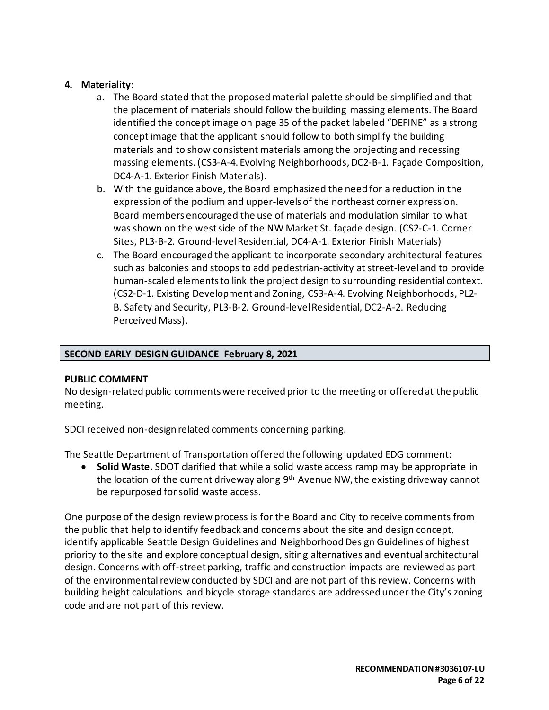### **4. Materiality**:

- a. The Board stated that the proposed material palette should be simplified and that the placement of materials should follow the building massing elements. The Board identified the concept image on page 35 of the packet labeled "DEFINE" as a strong concept image that the applicant should follow to both simplify the building materials and to show consistent materials among the projecting and recessing massing elements. (CS3-A-4. Evolving Neighborhoods, DC2-B-1. Façade Composition, DC4-A-1. Exterior Finish Materials).
- b. With the guidance above, the Board emphasized the need for a reduction in the expression of the podium and upper-levels of the northeast corner expression. Board members encouraged the use of materials and modulation similar to what was shown on the west side of the NW Market St. façade design. (CS2-C-1. Corner Sites, PL3-B-2. Ground-level Residential, DC4-A-1. Exterior Finish Materials)
- c. The Board encouraged the applicant to incorporate secondary architectural features such as balconies and stoops to add pedestrian-activity at street-level and to provide human-scaled elements to link the project design to surrounding residential context. (CS2-D-1. Existing Development and Zoning, CS3-A-4. Evolving Neighborhoods, PL2- B. Safety and Security, PL3-B-2. Ground-level Residential, DC2-A-2. Reducing Perceived Mass).

# **SECOND EARLY DESIGN GUIDANCE February 8, 2021**

#### **PUBLIC COMMENT**

No design-related public comments were received prior to the meeting or offered at the public meeting.

SDCI received non-design related comments concerning parking.

The Seattle Department of Transportation offered the following updated EDG comment:

• **Solid Waste.** SDOT clarified that while a solid waste access ramp may be appropriate in the location of the current driveway along 9<sup>th</sup> Avenue NW, the existing driveway cannot be repurposed for solid waste access.

One purpose of the design review process is for the Board and City to receive comments from the public that help to identify feedback and concerns about the site and design concept, identify applicable Seattle Design Guidelines and Neighborhood Design Guidelines of highest priority to the site and explore conceptual design, siting alternatives and eventual architectural design. Concerns with off-street parking, traffic and construction impacts are reviewed as part of the environmental review conducted by SDCI and are not part of this review. Concerns with building height calculations and bicycle storage standards are addressed under the City's zoning code and are not part of this review.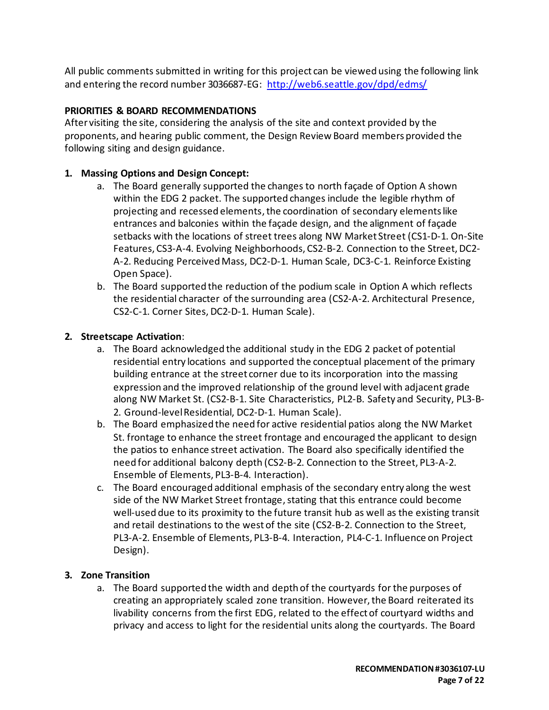All public comments submitted in writing for this project can be viewed using the following link and entering the record number 3036687-EG:<http://web6.seattle.gov/dpd/edms/>

# **PRIORITIES & BOARD RECOMMENDATIONS**

After visiting the site, considering the analysis of the site and context provided by the proponents, and hearing public comment, the Design Review Board members provided the following siting and design guidance.

### **1. Massing Options and Design Concept:**

- a. The Board generally supported the changes to north façade of Option A shown within the EDG 2 packet. The supported changes include the legible rhythm of projecting and recessed elements, the coordination of secondary elements like entrances and balconies within the façade design, and the alignment of façade setbacks with the locations of street trees along NW Market Street (CS1-D-1. On-Site Features, CS3-A-4. Evolving Neighborhoods, CS2-B-2. Connection to the Street, DC2- A-2. Reducing Perceived Mass, DC2-D-1. Human Scale, DC3-C-1. Reinforce Existing Open Space).
- b. The Board supported the reduction of the podium scale in Option A which reflects the residential character of the surrounding area (CS2-A-2. Architectural Presence, CS2-C-1. Corner Sites, DC2-D-1. Human Scale).

### **2. Streetscape Activation**:

- a. The Board acknowledged the additional study in the EDG 2 packet of potential residential entry locations and supported the conceptual placement of the primary building entrance at the street corner due to its incorporation into the massing expression and the improved relationship of the ground level with adjacent grade along NW Market St. (CS2-B-1. Site Characteristics, PL2-B. Safety and Security, PL3-B-2. Ground-level Residential, DC2-D-1. Human Scale).
- b. The Board emphasized the need for active residential patios along the NW Market St. frontage to enhance the street frontage and encouraged the applicant to design the patios to enhance street activation. The Board also specifically identified the need for additional balcony depth (CS2-B-2. Connection to the Street, PL3-A-2. Ensemble of Elements, PL3-B-4. Interaction).
- c. The Board encouraged additional emphasis of the secondary entry along the west side of the NW Market Street frontage, stating that this entrance could become well-used due to its proximity to the future transit hub as well as the existing transit and retail destinations to the west of the site (CS2-B-2. Connection to the Street, PL3-A-2. Ensemble of Elements, PL3-B-4. Interaction, PL4-C-1. Influence on Project Design).

# **3. Zone Transition**

a. The Board supported the width and depth of the courtyards for the purposes of creating an appropriately scaled zone transition. However, the Board reiterated its livability concerns from the first EDG, related to the effect of courtyard widths and privacy and access to light for the residential units along the courtyards. The Board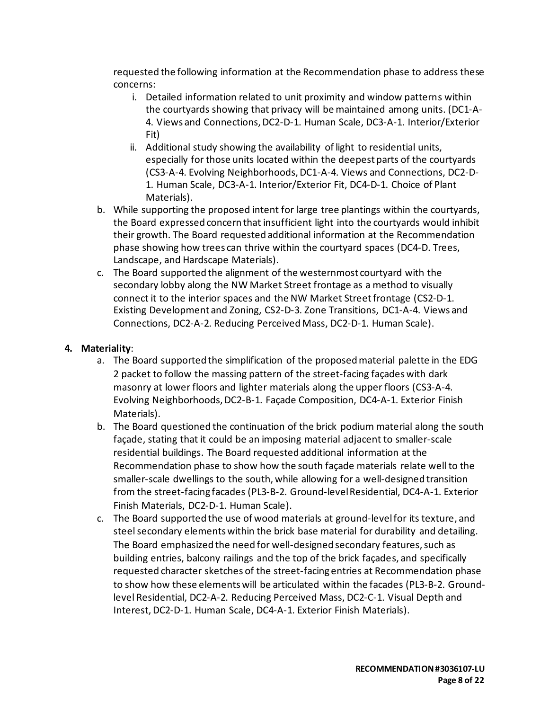requested the following information at the Recommendation phase to address these concerns:

- i. Detailed information related to unit proximity and window patterns within the courtyards showing that privacy will be maintained among units. (DC1-A-4. Views and Connections, DC2-D-1. Human Scale, DC3-A-1. Interior/Exterior Fit)
- ii. Additional study showing the availability of light to residential units, especially for those units located within the deepest parts of the courtyards (CS3-A-4. Evolving Neighborhoods, DC1-A-4. Views and Connections, DC2-D-1. Human Scale, DC3-A-1. Interior/Exterior Fit, DC4-D-1. Choice of Plant Materials).
- b. While supporting the proposed intent for large tree plantings within the courtyards, the Board expressed concern that insufficient light into the courtyards would inhibit their growth. The Board requested additional information at the Recommendation phase showing how trees can thrive within the courtyard spaces (DC4-D. Trees, Landscape, and Hardscape Materials).
- c. The Board supported the alignment of the westernmost courtyard with the secondary lobby along the NW Market Street frontage as a method to visually connect it to the interior spaces and the NW Market Street frontage (CS2-D-1. Existing Development and Zoning, CS2-D-3. Zone Transitions, DC1-A-4. Views and Connections, DC2-A-2. Reducing Perceived Mass, DC2-D-1. Human Scale).

### **4. Materiality**:

- a. The Board supported the simplification of the proposed material palette in the EDG 2 packet to follow the massing pattern of the street-facing façades with dark masonry at lower floors and lighter materials along the upper floors (CS3-A-4. Evolving Neighborhoods, DC2-B-1. Façade Composition, DC4-A-1. Exterior Finish Materials).
- b. The Board questioned the continuation of the brick podium material along the south façade, stating that it could be an imposing material adjacent to smaller-scale residential buildings. The Board requested additional information at the Recommendation phase to show how the south façade materials relate well to the smaller-scale dwellings to the south, while allowing for a well-designed transition from the street-facing facades (PL3-B-2. Ground-level Residential, DC4-A-1. Exterior Finish Materials, DC2-D-1. Human Scale).
- c. The Board supported the use of wood materials at ground-level for its texture, and steel secondary elements within the brick base material for durability and detailing. The Board emphasized the need for well-designed secondary features, such as building entries, balcony railings and the top of the brick façades, and specifically requested character sketches of the street-facing entries at Recommendation phase to show how these elementswill be articulated within the facades (PL3-B-2. Groundlevel Residential, DC2-A-2. Reducing Perceived Mass, DC2-C-1. Visual Depth and Interest, DC2-D-1. Human Scale, DC4-A-1. Exterior Finish Materials).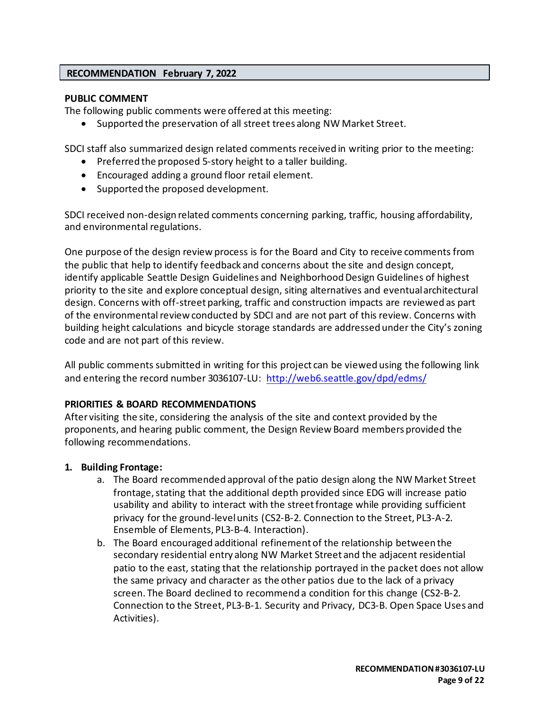#### **RECOMMENDATION February 7, 2022**

#### **PUBLIC COMMENT**

The following public comments were offered at this meeting:

• Supported the preservation of all street trees along NW Market Street.

SDCI staff also summarized design related comments received in writing prior to the meeting:

- Preferred the proposed 5-story height to a taller building.
- Encouraged adding a ground floor retail element.
- Supported the proposed development.

SDCI received non-design related comments concerning parking, traffic, housing affordability, and environmental regulations.

One purpose of the design review process is for the Board and City to receive comments from the public that help to identify feedback and concerns about the site and design concept, identify applicable Seattle Design Guidelines and Neighborhood Design Guidelines of highest priority to the site and explore conceptual design, siting alternatives and eventual architectural design. Concerns with off-street parking, traffic and construction impacts are reviewed as part of the environmental review conducted by SDCI and are not part of this review. Concerns with building height calculations and bicycle storage standards are addressed under the City's zoning code and are not part of this review.

All public comments submitted in writing for this project can be viewed using the following link and entering the record number 3036107-LU: <http://web6.seattle.gov/dpd/edms/>

#### **PRIORITIES & BOARD RECOMMENDATIONS**

After visiting the site, considering the analysis of the site and context provided by the proponents, and hearing public comment, the Design Review Board members provided the following recommendations.

#### **1. Building Frontage:**

- a. The Board recommended approval of the patio design along the NW Market Street frontage, stating that the additional depth provided since EDG will increase patio usability and ability to interact with the street frontage while providing sufficient privacy for the ground-level units (CS2-B-2. Connection to the Street, PL3-A-2. Ensemble of Elements, PL3-B-4. Interaction).
- b. The Board encouraged additional refinement of the relationship between the secondary residential entry along NW Market Street and the adjacent residential patio to the east, stating that the relationship portrayed in the packet does not allow the same privacy and character as the other patios due to the lack of a privacy screen. The Board declined to recommend a condition for this change (CS2-B-2. Connection to the Street, PL3-B-1. Security and Privacy, DC3-B. Open Space Uses and Activities).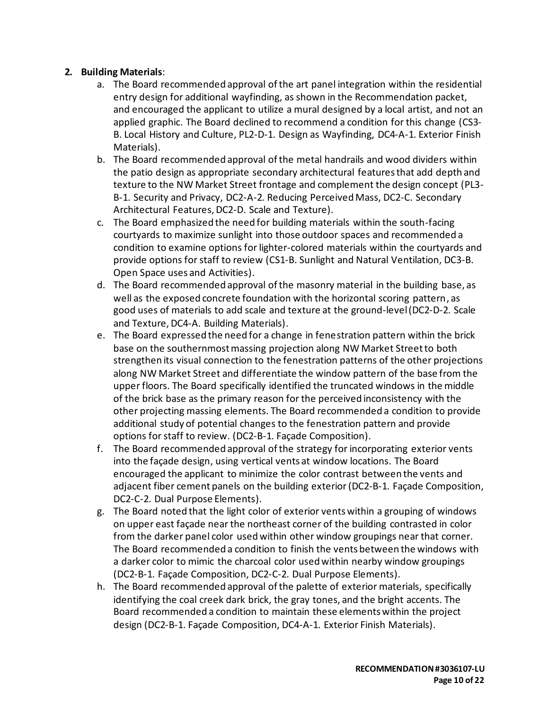# **2. Building Materials**:

- a. The Board recommended approval of the art panel integration within the residential entry design for additional wayfinding, as shown in the Recommendation packet, and encouraged the applicant to utilize a mural designed by a local artist, and not an applied graphic. The Board declined to recommend a condition for this change (CS3- B. Local History and Culture, PL2-D-1. Design as Wayfinding, DC4-A-1. Exterior Finish Materials).
- b. The Board recommended approval of the metal handrails and wood dividers within the patio design as appropriate secondary architectural features that add depth and texture to the NW Market Street frontage and complement the design concept (PL3- B-1. Security and Privacy, DC2-A-2. Reducing Perceived Mass, DC2-C. Secondary Architectural Features, DC2-D. Scale and Texture).
- c. The Board emphasized the need for building materials within the south-facing courtyards to maximize sunlight into those outdoor spaces and recommended a condition to examine options for lighter-colored materials within the courtyards and provide options for staff to review (CS1-B. Sunlight and Natural Ventilation, DC3-B. Open Space uses and Activities).
- d. The Board recommended approval of the masonry material in the building base, as well as the exposed concrete foundation with the horizontal scoring pattern, as good uses of materials to add scale and texture at the ground-level(DC2-D-2. Scale and Texture, DC4-A. Building Materials).
- e. The Board expressed the need for a change in fenestration pattern within the brick base on the southernmost massing projection along NW Market Street to both strengthen its visual connection to the fenestration patterns of the other projections along NW Market Street and differentiate the window pattern of the base from the upper floors. The Board specifically identified the truncated windows in the middle of the brick base as the primary reason for the perceived inconsistency with the other projecting massing elements. The Board recommended a condition to provide additional study of potential changes to the fenestration pattern and provide options for staff to review. (DC2-B-1. Façade Composition).
- f. The Board recommended approval of the strategy for incorporating exterior vents into the façade design, using vertical vents at window locations. The Board encouraged the applicant to minimize the color contrast between the vents and adjacent fiber cement panels on the building exterior(DC2-B-1. Façade Composition, DC2-C-2. Dual Purpose Elements).
- g. The Board noted that the light color of exterior vents within a grouping of windows on upper east façade near the northeast corner of the building contrasted in color from the darker panel color used within other window groupings near that corner. The Board recommended a condition to finish the vents between the windows with a darker color to mimic the charcoal color used within nearby window groupings (DC2-B-1. Façade Composition, DC2-C-2. Dual Purpose Elements).
- h. The Board recommended approval of the palette of exterior materials, specifically identifying the coal creek dark brick, the gray tones, and the bright accents. The Board recommended a condition to maintain these elements within the project design (DC2-B-1. Façade Composition, DC4-A-1. Exterior Finish Materials).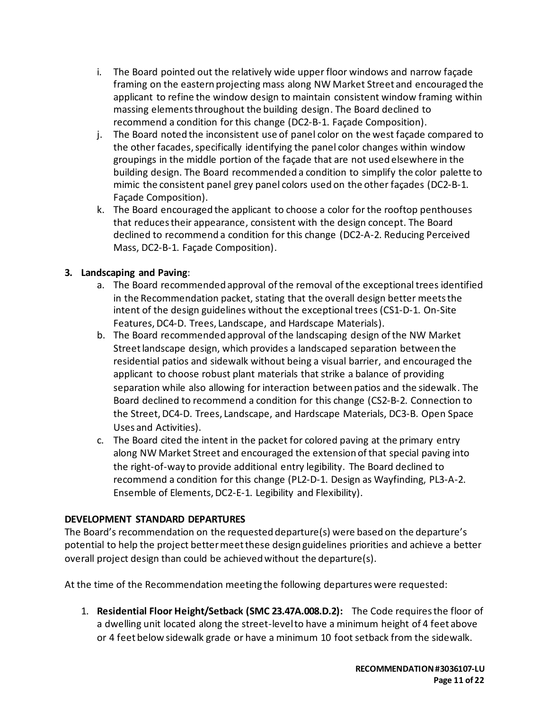- i. The Board pointed out the relatively wide upper floor windows and narrow façade framing on the eastern projecting mass along NW Market Street and encouraged the applicant to refine the window design to maintain consistent window framing within massing elements throughout the building design. The Board declined to recommend a condition for this change (DC2-B-1. Façade Composition).
- j. The Board noted the inconsistent use of panel color on the west façade compared to the other facades, specifically identifying the panel color changes within window groupings in the middle portion of the façade that are not used elsewhere in the building design. The Board recommended a condition to simplify the color palette to mimic the consistent panel grey panel colors used on the other façades (DC2-B-1. Façade Composition).
- k. The Board encouraged the applicant to choose a color for the rooftop penthouses that reduces their appearance, consistent with the design concept. The Board declined to recommend a condition for this change (DC2-A-2. Reducing Perceived Mass, DC2-B-1. Façade Composition).

# **3. Landscaping and Paving**:

- a. The Board recommended approval of the removal of the exceptional trees identified in the Recommendation packet, stating that the overall design better meets the intent of the design guidelines without the exceptional trees (CS1-D-1. On-Site Features, DC4-D. Trees, Landscape, and Hardscape Materials).
- b. The Board recommended approval of the landscaping design of the NW Market Street landscape design, which provides a landscaped separation between the residential patios and sidewalk without being a visual barrier, and encouraged the applicant to choose robust plant materials that strike a balance of providing separation while also allowing for interaction between patios and the sidewalk. The Board declined to recommend a condition for this change (CS2-B-2. Connection to the Street, DC4-D. Trees, Landscape, and Hardscape Materials, DC3-B. Open Space Uses and Activities).
- c. The Board cited the intent in the packet for colored paving at the primary entry along NW Market Street and encouraged the extension of that special paving into the right-of-way to provide additional entry legibility. The Board declined to recommend a condition for this change (PL2-D-1. Design as Wayfinding, PL3-A-2. Ensemble of Elements, DC2-E-1. Legibility and Flexibility).

# **DEVELOPMENT STANDARD DEPARTURES**

The Board's recommendation on the requested departure(s) were based on the departure's potential to help the project better meet these design guidelines priorities and achieve a better overall project design than could be achieved without the departure(s).

At the time of the Recommendation meeting the following departures were requested:

1. **Residential Floor Height/Setback (SMC 23.47A.008.D.2):** The Code requires the floor of a dwelling unit located along the street-level to have a minimum height of 4 feet above or 4 feet below sidewalk grade or have a minimum 10 foot setback from the sidewalk.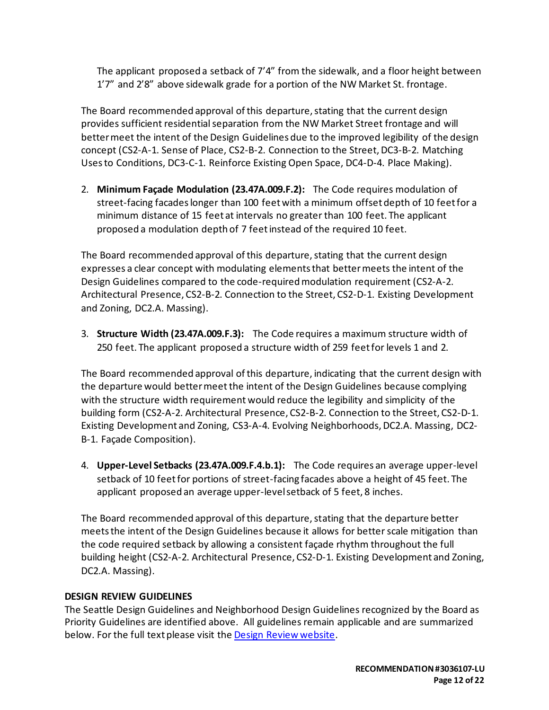The applicant proposed a setback of 7'4" from the sidewalk, and a floor height between 1'7" and 2'8" above sidewalk grade for a portion of the NW Market St. frontage.

The Board recommended approval of this departure, stating that the current design provides sufficient residential separation from the NW Market Street frontage and will better meet the intent of the Design Guidelines due to the improved legibility of the design concept (CS2-A-1. Sense of Place, CS2-B-2. Connection to the Street, DC3-B-2. Matching Uses to Conditions, DC3-C-1. Reinforce Existing Open Space, DC4-D-4. Place Making).

2. **Minimum Façade Modulation (23.47A.009.F.2):** The Code requires modulation of street-facing facades longer than 100 feet with a minimum offset depth of 10 feet for a minimum distance of 15 feet at intervals no greater than 100 feet. The applicant proposed a modulation depth of 7 feet instead of the required 10 feet.

The Board recommended approval of this departure, stating that the current design expresses a clear concept with modulating elements that better meets the intent of the Design Guidelines compared to the code-required modulation requirement (CS2-A-2. Architectural Presence, CS2-B-2. Connection to the Street, CS2-D-1. Existing Development and Zoning, DC2.A. Massing).

3. **Structure Width (23.47A.009.F.3):** The Code requires a maximum structure width of 250 feet. The applicant proposed a structure width of 259 feet for levels 1 and 2.

The Board recommended approval of this departure, indicating that the current design with the departure would better meetthe intent of the Design Guidelines because complying with the structure width requirement would reduce the legibility and simplicity of the building form (CS2-A-2. Architectural Presence, CS2-B-2. Connection to the Street, CS2-D-1. Existing Development and Zoning, CS3-A-4. Evolving Neighborhoods, DC2.A. Massing, DC2- B-1. Façade Composition).

4. **Upper-Level Setbacks (23.47A.009.F.4.b.1):** The Code requires an average upper-level setback of 10 feet for portions of street-facing facades above a height of 45 feet. The applicant proposed an average upper-level setback of 5 feet, 8 inches.

The Board recommended approval of this departure, stating that the departure better meets the intent of the Design Guidelines because it allows for better scale mitigation than the code required setback by allowing a consistent façade rhythm throughout the full building height (CS2-A-2. Architectural Presence, CS2-D-1. Existing Development and Zoning, DC2.A. Massing).

# **DESIGN REVIEW GUIDELINES**

The Seattle Design Guidelines and Neighborhood Design Guidelines recognized by the Board as Priority Guidelines are identified above. All guidelines remain applicable and are summarized below. For the full text please visit the [Design Review website.](https://www.seattle.gov/dpd/aboutus/whoweare/designreview/designguidelines/default.htm)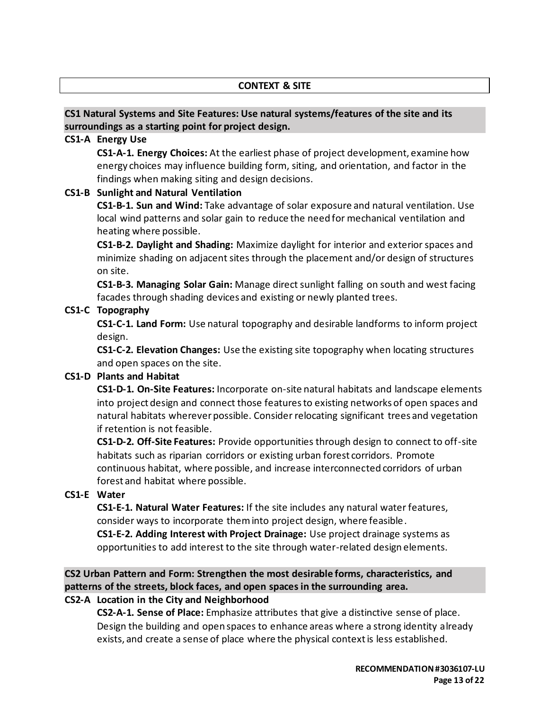#### **CONTEXT & SITE**

### **CS1 Natural Systems and Site Features: Use natural systems/features of the site and its surroundings as a starting point for project design.**

#### **CS1-A Energy Use**

**CS1-A-1. Energy Choices:** At the earliest phase of project development, examine how energy choices may influence building form, siting, and orientation, and factor in the findings when making siting and design decisions.

#### **CS1-B Sunlight and Natural Ventilation**

**CS1-B-1. Sun and Wind:** Take advantage of solar exposure and natural ventilation. Use local wind patterns and solar gain to reduce the need for mechanical ventilation and heating where possible.

**CS1-B-2. Daylight and Shading:** Maximize daylight for interior and exterior spaces and minimize shading on adjacent sites through the placement and/or design of structures on site.

**CS1-B-3. Managing Solar Gain:** Manage direct sunlight falling on south and west facing facades through shading devices and existing or newly planted trees.

#### **CS1-C Topography**

**CS1-C-1. Land Form:** Use natural topography and desirable landforms to inform project design.

**CS1-C-2. Elevation Changes:** Use the existing site topography when locating structures and open spaces on the site.

#### **CS1-D Plants and Habitat**

**CS1-D-1. On-Site Features:** Incorporate on-site natural habitats and landscape elements into project design and connect those features to existing networks of open spaces and natural habitats wherever possible. Consider relocating significant trees and vegetation if retention is not feasible.

**CS1-D-2. Off-Site Features:** Provide opportunities through design to connect to off-site habitats such as riparian corridors or existing urban forest corridors. Promote continuous habitat, where possible, and increase interconnected corridors of urban forest and habitat where possible.

#### **CS1-E Water**

**CS1-E-1. Natural Water Features:** If the site includes any natural water features, consider ways to incorporate them into project design, where feasible.

**CS1-E-2. Adding Interest with Project Drainage:** Use project drainage systems as opportunities to add interest to the site through water-related design elements.

**CS2 Urban Pattern and Form: Strengthen the most desirable forms, characteristics, and patterns of the streets, block faces, and open spaces in the surrounding area.**

#### **CS2-A Location in the City and Neighborhood**

**CS2-A-1. Sense of Place:** Emphasize attributes that give a distinctive sense of place. Design the building and open spaces to enhance areas where a strong identity already exists, and create a sense of place where the physical context is less established.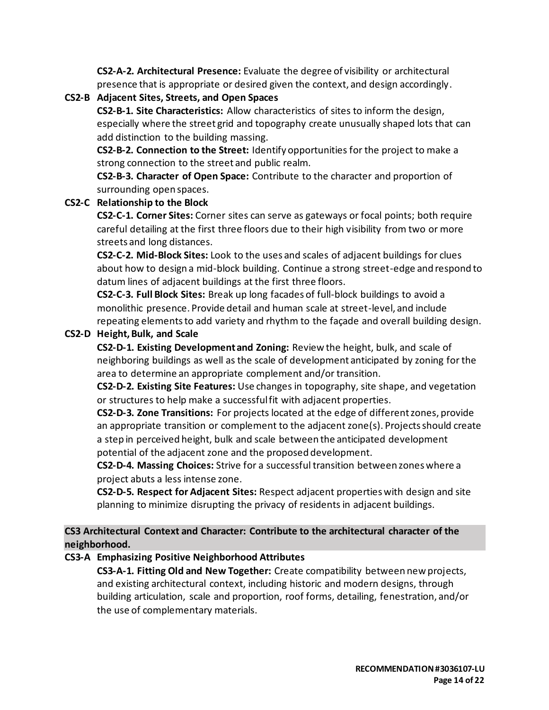**CS2-A-2. Architectural Presence:** Evaluate the degree of visibility or architectural presence that is appropriate or desired given the context, and design accordingly.

**CS2-B Adjacent Sites, Streets, and Open Spaces CS2-B-1. Site Characteristics:** Allow characteristics of sites to inform the design,

especially where the street grid and topography create unusually shaped lots that can add distinction to the building massing.

**CS2-B-2. Connection to the Street:** Identify opportunities for the project to make a strong connection to the street and public realm.

**CS2-B-3. Character of Open Space:** Contribute to the character and proportion of surrounding open spaces.

# **CS2-C Relationship to the Block**

**CS2-C-1. Corner Sites:** Corner sites can serve as gateways or focal points; both require careful detailing at the first three floors due to their high visibility from two or more streets and long distances.

**CS2-C-2. Mid-Block Sites:** Look to the uses and scales of adjacent buildings for clues about how to design a mid-block building. Continue a strong street-edge and respond to datum lines of adjacent buildings at the first three floors.

**CS2-C-3. Full Block Sites:** Break up long facades of full-block buildings to avoid a monolithic presence. Provide detail and human scale at street-level, and include repeating elements to add variety and rhythm to the façade and overall building design.

# **CS2-D Height, Bulk, and Scale**

**CS2-D-1. Existing Development and Zoning:** Review the height, bulk, and scale of neighboring buildings as well as the scale of development anticipated by zoning for the area to determine an appropriate complement and/or transition.

**CS2-D-2. Existing Site Features:** Use changes in topography, site shape, and vegetation or structures to help make a successful fit with adjacent properties.

**CS2-D-3. Zone Transitions:** For projects located at the edge of different zones, provide an appropriate transition or complement to the adjacent zone(s). Projects should create a step in perceived height, bulk and scale between the anticipated development potential of the adjacent zone and the proposed development.

**CS2-D-4. Massing Choices:** Strive for a successful transition between zones where a project abuts a less intense zone.

**CS2-D-5. Respect for Adjacent Sites:** Respect adjacent properties with design and site planning to minimize disrupting the privacy of residentsin adjacent buildings.

# **CS3 Architectural Context and Character: Contribute to the architectural character of the neighborhood.**

# **CS3-A Emphasizing Positive Neighborhood Attributes**

**CS3-A-1. Fitting Old and New Together:** Create compatibility between new projects, and existing architectural context, including historic and modern designs, through building articulation, scale and proportion, roof forms, detailing, fenestration, and/or the use of complementary materials.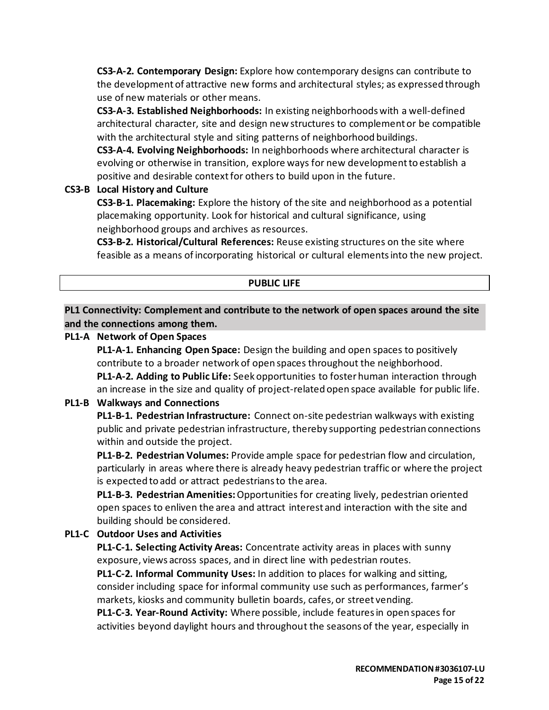**CS3-A-2. Contemporary Design:** Explore how contemporary designs can contribute to the development of attractive new forms and architectural styles; as expressed through use of new materials or other means.

**CS3-A-3. Established Neighborhoods:** In existing neighborhoods with a well-defined architectural character, site and design new structures to complement or be compatible with the architectural style and siting patterns of neighborhood buildings.

**CS3-A-4. Evolving Neighborhoods:** In neighborhoods where architectural character is evolving or otherwise in transition, explore ways for new development to establish a positive and desirable context for others to build upon in the future.

# **CS3-B Local History and Culture**

**CS3-B-1. Placemaking:** Explore the history of the site and neighborhood as a potential placemaking opportunity. Look for historical and cultural significance, using neighborhood groups and archives as resources.

**CS3-B-2. Historical/Cultural References:** Reuse existing structures on the site where feasible as a means of incorporating historical or cultural elements into the new project.

# **PUBLIC LIFE**

**PL1 Connectivity: Complement and contribute to the network of open spaces around the site and the connections among them.**

# **PL1-A Network of Open Spaces**

**PL1-A-1. Enhancing Open Space:** Design the building and open spaces to positively contribute to a broader network of open spaces throughout the neighborhood. **PL1-A-2. Adding to Public Life:** Seek opportunities to foster human interaction through an increase in the size and quality of project-related open space available for public life.

# **PL1-B Walkways and Connections**

**PL1-B-1. Pedestrian Infrastructure:** Connect on-site pedestrian walkways with existing public and private pedestrian infrastructure, thereby supporting pedestrian connections within and outside the project.

**PL1-B-2. Pedestrian Volumes:** Provide ample space for pedestrian flow and circulation, particularly in areas where there is already heavy pedestrian traffic or where the project is expected to add or attract pedestrians to the area.

**PL1-B-3. Pedestrian Amenities:**Opportunities for creating lively, pedestrian oriented open spaces to enliven the area and attract interest and interaction with the site and building should be considered.

# **PL1-C Outdoor Uses and Activities**

**PL1-C-1. Selecting Activity Areas:** Concentrate activity areas in places with sunny exposure, views across spaces, and in direct line with pedestrian routes.

**PL1-C-2. Informal Community Uses:** In addition to places for walking and sitting, consider including space for informal community use such as performances, farmer's markets, kiosks and community bulletin boards, cafes, or street vending.

**PL1-C-3. Year-Round Activity:** Where possible, include features in open spaces for activities beyond daylight hours and throughout the seasons of the year, especially in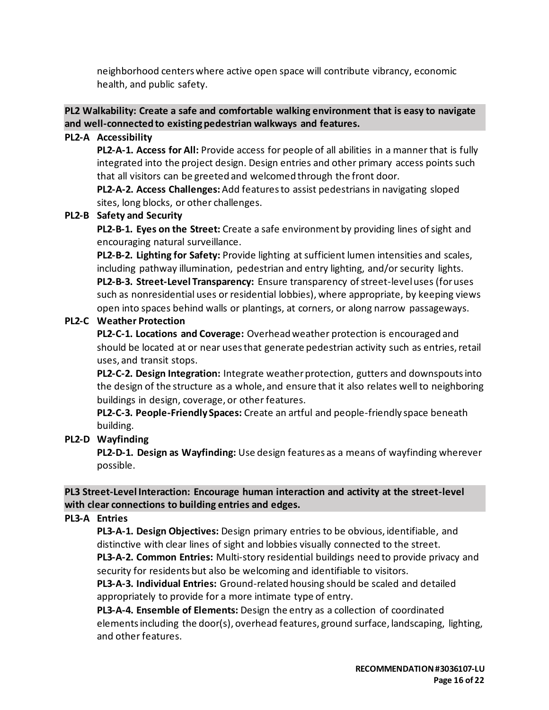neighborhood centers where active open space will contribute vibrancy, economic health, and public safety.

# **PL2 Walkability: Create a safe and comfortable walking environment that is easy to navigate and well-connected to existing pedestrian walkways and features.**

# **PL2-A Accessibility**

**PL2-A-1. Access for All:** Provide access for people of all abilities in a manner that is fully integrated into the project design. Design entries and other primary access points such that all visitors can be greeted and welcomed through the front door.

**PL2-A-2. Access Challenges:**Add features to assist pedestrians in navigating sloped sites, long blocks, or other challenges.

# **PL2-B Safety and Security**

**PL2-B-1. Eyes on the Street:** Create a safe environment by providing lines of sight and encouraging natural surveillance.

**PL2-B-2. Lighting for Safety:** Provide lighting at sufficient lumen intensities and scales, including pathway illumination, pedestrian and entry lighting, and/or security lights. **PL2-B-3. Street-Level Transparency:** Ensure transparency of street-level uses (for uses such as nonresidential uses or residential lobbies), where appropriate, by keeping views open into spaces behind walls or plantings, at corners, or along narrow passageways.

### **PL2-C Weather Protection**

**PL2-C-1. Locations and Coverage:** Overhead weather protection is encouraged and should be located at or near uses that generate pedestrian activity such as entries, retail uses, and transit stops.

**PL2-C-2. Design Integration:** Integrate weather protection, gutters and downspouts into the design of the structure as a whole, and ensure that it also relates well to neighboring buildings in design, coverage, or other features.

**PL2-C-3. People-Friendly Spaces:** Create an artful and people-friendly space beneath building.

# **PL2-D Wayfinding**

**PL2-D-1. Design as Wayfinding:** Use design features as a means of wayfinding wherever possible.

# **PL3 Street-Level Interaction: Encourage human interaction and activity at the street-level with clear connections to building entries and edges.**

# **PL3-A Entries**

**PL3-A-1. Design Objectives:** Design primary entries to be obvious, identifiable, and distinctive with clear lines of sight and lobbies visually connected to the street. **PL3-A-2. Common Entries:** Multi-story residential buildings need to provide privacy and security for residents but also be welcoming and identifiable to visitors.

**PL3-A-3. Individual Entries:** Ground-related housing should be scaled and detailed appropriately to provide for a more intimate type of entry.

**PL3-A-4. Ensemble of Elements:** Design the entry as a collection of coordinated elements including the door(s), overhead features, ground surface, landscaping, lighting, and other features.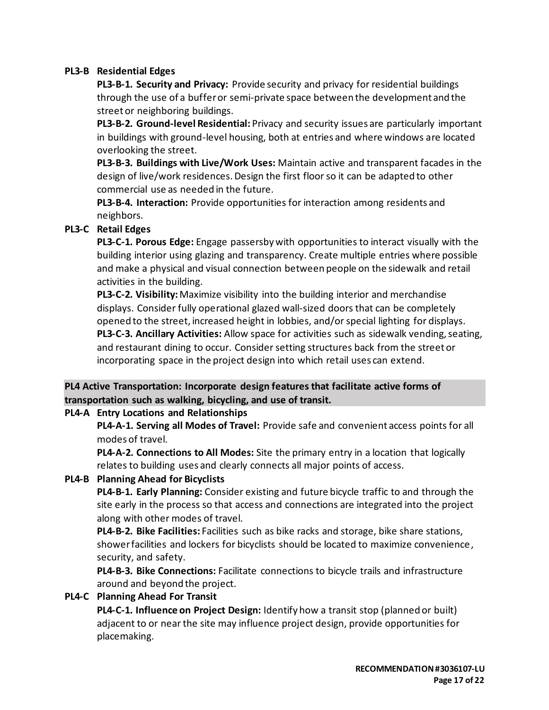# **PL3-B Residential Edges**

**PL3-B-1. Security and Privacy:** Provide security and privacy for residential buildings through the use of a buffer or semi-private space between the development and the street or neighboring buildings.

**PL3-B-2. Ground-level Residential:** Privacy and security issues are particularly important in buildings with ground-level housing, both at entries and where windows are located overlooking the street.

**PL3-B-3. Buildings with Live/Work Uses:** Maintain active and transparent facades in the design of live/work residences. Design the first floor so it can be adapted to other commercial use as needed in the future.

**PL3-B-4. Interaction:** Provide opportunities for interaction among residents and neighbors.

# **PL3-C Retail Edges**

**PL3-C-1. Porous Edge:** Engage passersby with opportunities to interact visually with the building interior using glazing and transparency. Create multiple entries where possible and make a physical and visual connection between people on the sidewalk and retail activities in the building.

**PL3-C-2. Visibility:**Maximize visibility into the building interior and merchandise displays. Consider fully operational glazed wall-sized doors that can be completely opened to the street, increased height in lobbies, and/or special lighting for displays. **PL3-C-3. Ancillary Activities:** Allow space for activities such as sidewalk vending, seating, and restaurant dining to occur. Consider setting structures back from the street or incorporating space in the project design into which retail uses can extend.

# **PL4 Active Transportation: Incorporate design features that facilitate active forms of transportation such as walking, bicycling, and use of transit.**

#### **PL4-A Entry Locations and Relationships**

**PL4-A-1. Serving all Modes of Travel:** Provide safe and convenient access points for all modes of travel.

**PL4-A-2. Connections to All Modes:** Site the primary entry in a location that logically relates to building uses and clearly connects all major points of access.

# **PL4-B Planning Ahead for Bicyclists**

**PL4-B-1. Early Planning:** Consider existing and future bicycle traffic to and through the site early in the process so that access and connections are integrated into the project along with other modes of travel.

**PL4-B-2. Bike Facilities:** Facilities such as bike racks and storage, bike share stations, shower facilities and lockers for bicyclists should be located to maximize convenience, security, and safety.

**PL4-B-3. Bike Connections:** Facilitate connections to bicycle trails and infrastructure around and beyond the project.

#### **PL4-C Planning Ahead For Transit**

**PL4-C-1. Influence on Project Design:** Identify how a transit stop (planned or built) adjacent to or near the site may influence project design, provide opportunities for placemaking.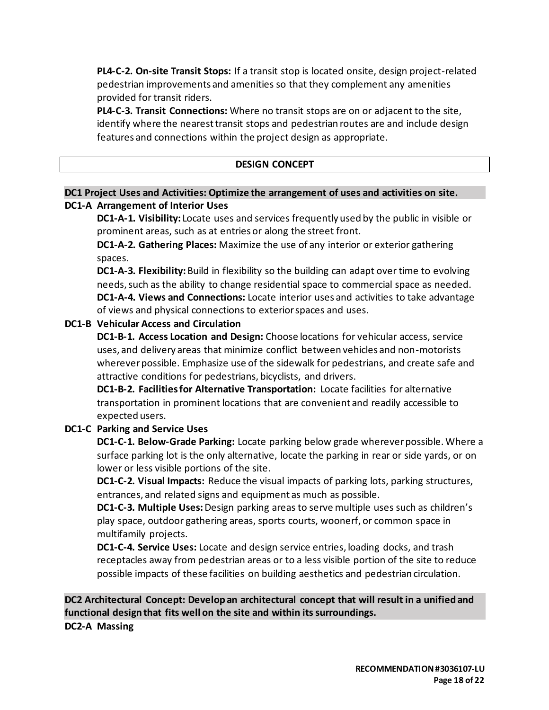**PL4-C-2. On-site Transit Stops:** If a transit stop is located onsite, design project-related pedestrian improvements and amenities so that they complement any amenities provided for transit riders.

**PL4-C-3. Transit Connections:** Where no transit stops are on or adjacent to the site, identify where the nearest transit stops and pedestrian routes are and include design features and connections within the project design as appropriate.

### **DESIGN CONCEPT**

# **DC1 Project Uses and Activities: Optimize the arrangement of uses and activities on site. DC1-A Arrangement of Interior Uses**

**DC1-A-1. Visibility:** Locate uses and services frequently used by the public in visible or prominent areas, such as at entries or along the street front.

**DC1-A-2. Gathering Places:** Maximize the use of any interior or exterior gathering spaces.

**DC1-A-3. Flexibility:** Build in flexibility so the building can adapt over time to evolving needs, such as the ability to change residential space to commercial space as needed. **DC1-A-4. Views and Connections:** Locate interior uses and activities to take advantage of views and physical connections to exterior spaces and uses.

### **DC1-B Vehicular Access and Circulation**

**DC1-B-1. Access Location and Design:** Choose locations for vehicular access, service uses, and delivery areas that minimize conflict between vehicles and non-motorists wherever possible. Emphasize use of the sidewalk for pedestrians, and create safe and attractive conditions for pedestrians, bicyclists, and drivers.

**DC1-B-2. Facilities for Alternative Transportation:** Locate facilities for alternative transportation in prominent locations that are convenient and readily accessible to expected users.

# **DC1-C Parking and Service Uses**

**DC1-C-1. Below-Grade Parking:** Locate parking below grade wherever possible. Where a surface parking lot is the only alternative, locate the parking in rear or side yards, or on lower or less visible portions of the site.

**DC1-C-2. Visual Impacts:** Reduce the visual impacts of parking lots, parking structures, entrances, and related signs and equipment as much as possible.

**DC1-C-3. Multiple Uses:** Design parking areas to serve multiple uses such as children's play space, outdoor gathering areas, sports courts, woonerf, or common space in multifamily projects.

**DC1-C-4. Service Uses:** Locate and design service entries, loading docks, and trash receptacles away from pedestrian areas or to a less visible portion of the site to reduce possible impacts of these facilities on building aesthetics and pedestrian circulation.

**DC2 Architectural Concept: Develop an architectural concept that will result in a unified and functional design that fits well on the site and within its surroundings.**

**DC2-A Massing**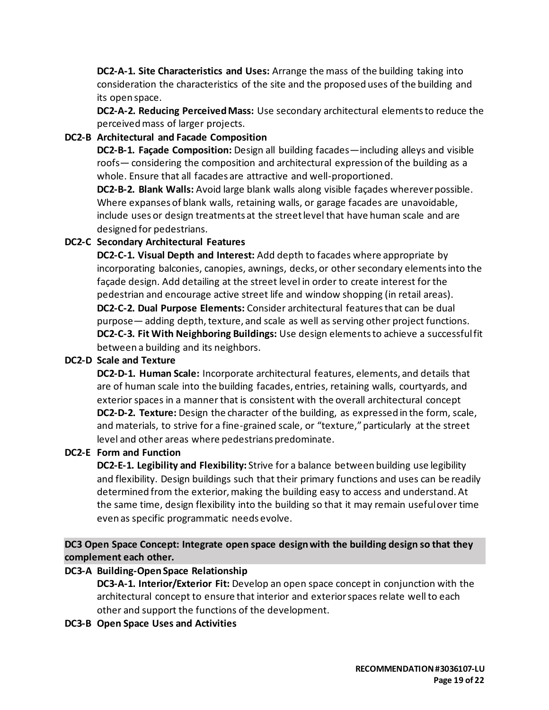**DC2-A-1. Site Characteristics and Uses:** Arrange the mass of the building taking into consideration the characteristics of the site and the proposed uses of the building and its open space.

**DC2-A-2. Reducing Perceived Mass:** Use secondary architectural elements to reduce the perceived mass of larger projects.

# **DC2-B Architectural and Facade Composition**

**DC2-B-1. Façade Composition:** Design all building facades—including alleys and visible roofs— considering the composition and architectural expression of the building as a whole. Ensure that all facades are attractive and well-proportioned.

**DC2-B-2. Blank Walls:** Avoid large blank walls along visible façades wherever possible. Where expanses of blank walls, retaining walls, or garage facades are unavoidable, include uses or design treatments at the street level that have human scale and are designed for pedestrians.

### **DC2-C Secondary Architectural Features**

**DC2-C-1. Visual Depth and Interest:** Add depth to facades where appropriate by incorporating balconies, canopies, awnings, decks, or other secondary elements into the façade design. Add detailing at the street level in order to create interest for the pedestrian and encourage active street life and window shopping (in retail areas). **DC2-C-2. Dual Purpose Elements:** Consider architectural features that can be dual purpose— adding depth, texture, and scale as well as serving other project functions. **DC2-C-3. Fit With Neighboring Buildings:** Use design elements to achieve a successful fit between a building and its neighbors.

#### **DC2-D Scale and Texture**

**DC2-D-1. Human Scale:** Incorporate architectural features, elements, and details that are of human scale into the building facades, entries, retaining walls, courtyards, and exterior spaces in a manner that is consistent with the overall architectural concept **DC2-D-2. Texture:** Design the character of the building, as expressed in the form, scale, and materials, to strive for a fine-grained scale, or "texture," particularly at the street level and other areas where pedestrians predominate.

#### **DC2-E Form and Function**

**DC2-E-1. Legibility and Flexibility:** Strive for a balance between building use legibility and flexibility. Design buildings such that their primary functions and uses can be readily determined from the exterior, making the building easy to access and understand. At the same time, design flexibility into the building so that it may remain useful over time even as specific programmatic needs evolve.

**DC3 Open Space Concept: Integrate open space design with the building design so that they complement each other.**

#### **DC3-A Building-Open Space Relationship**

**DC3-A-1. Interior/Exterior Fit:** Develop an open space concept in conjunction with the architectural concept to ensure that interior and exterior spaces relate well to each other and support the functions of the development.

**DC3-B Open Space Uses and Activities**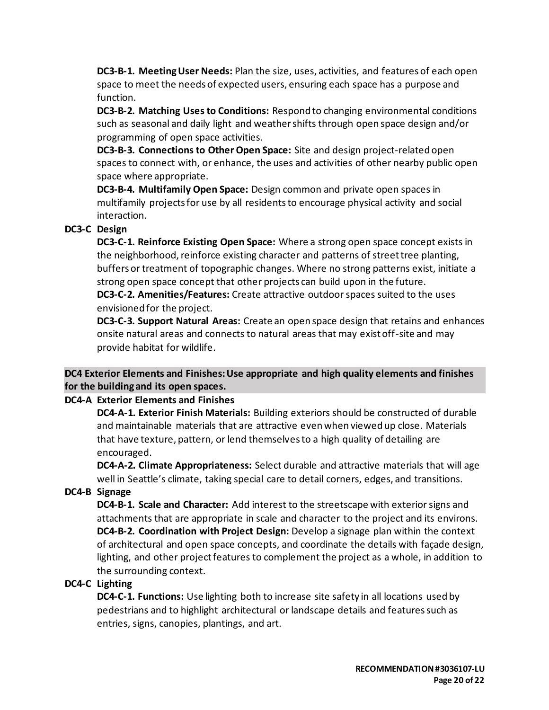**DC3-B-1. Meeting User Needs:** Plan the size, uses, activities, and features of each open space to meet the needs of expected users, ensuring each space has a purpose and function.

**DC3-B-2. Matching Uses to Conditions:** Respond to changing environmental conditions such as seasonal and daily light and weather shifts through open space design and/or programming of open space activities.

**DC3-B-3. Connections to Other Open Space:** Site and design project-related open spaces to connect with, or enhance, the uses and activities of other nearby public open space where appropriate.

**DC3-B-4. Multifamily Open Space:** Design common and private open spaces in multifamily projects for use by all residents to encourage physical activity and social interaction.

# **DC3-C Design**

**DC3-C-1. Reinforce Existing Open Space:** Where a strong open space concept exists in the neighborhood, reinforce existing character and patterns of street tree planting, buffers or treatment of topographic changes. Where no strong patterns exist, initiate a strong open space concept that other projects can build upon in the future.

**DC3-C-2. Amenities/Features:** Create attractive outdoor spaces suited to the uses envisioned for the project.

**DC3-C-3. Support Natural Areas:** Create an open space design that retains and enhances onsite natural areas and connects to natural areas that may exist off-site and may provide habitat for wildlife.

# **DC4 Exterior Elements and Finishes: Use appropriate and high quality elements and finishes for the building and its open spaces.**

# **DC4-A Exterior Elements and Finishes**

**DC4-A-1. Exterior Finish Materials:** Building exteriors should be constructed of durable and maintainable materials that are attractive even when viewed up close. Materials that have texture, pattern, or lend themselves to a high quality of detailing are encouraged.

**DC4-A-2. Climate Appropriateness:** Select durable and attractive materials that will age well in Seattle's climate, taking special care to detail corners, edges, and transitions.

# **DC4-B Signage**

**DC4-B-1. Scale and Character:** Add interest to the streetscape with exterior signs and attachments that are appropriate in scale and character to the project and its environs. **DC4-B-2. Coordination with Project Design:** Develop a signage plan within the context of architectural and open space concepts, and coordinate the details with façade design, lighting, and other project features to complement the project as a whole, in addition to the surrounding context.

# **DC4-C Lighting**

**DC4-C-1. Functions:** Use lighting both to increase site safety in all locations used by pedestrians and to highlight architectural or landscape details and features such as entries, signs, canopies, plantings, and art.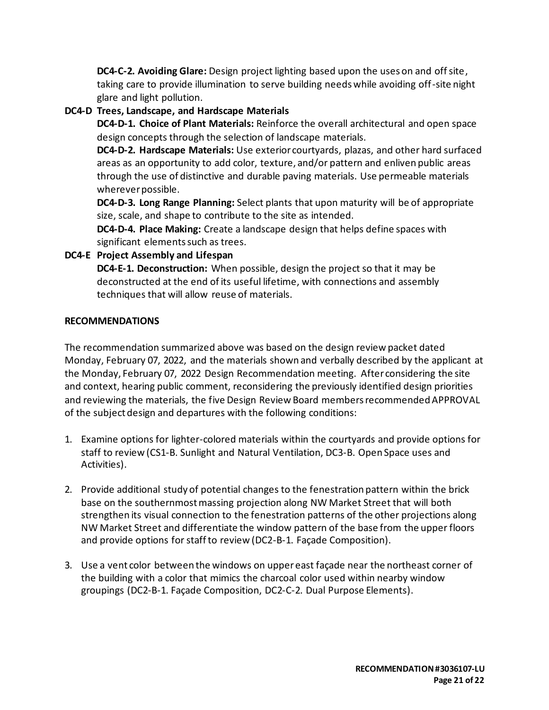**DC4-C-2. Avoiding Glare:** Design project lighting based upon the uses on and off site, taking care to provide illumination to serve building needs while avoiding off-site night glare and light pollution.

# **DC4-D Trees, Landscape, and Hardscape Materials**

**DC4-D-1. Choice of Plant Materials:** Reinforce the overall architectural and open space design concepts through the selection of landscape materials.

**DC4-D-2. Hardscape Materials:** Use exterior courtyards, plazas, and other hard surfaced areas as an opportunity to add color, texture, and/or pattern and enliven public areas through the use of distinctive and durable paving materials. Use permeable materials wherever possible.

**DC4-D-3. Long Range Planning:** Select plants that upon maturity will be of appropriate size, scale, and shape to contribute to the site as intended.

**DC4-D-4. Place Making:** Create a landscape design that helps define spaces with significant elements such as trees.

# **DC4-E Project Assembly and Lifespan**

**DC4-E-1. Deconstruction:** When possible, design the project so that it may be deconstructed at the end of its useful lifetime, with connections and assembly techniques that will allow reuse of materials.

### **RECOMMENDATIONS**

The recommendation summarized above was based on the design review packet dated Monday, February 07, 2022, and the materials shown and verbally described by the applicant at the Monday, February 07, 2022 Design Recommendation meeting. After considering the site and context, hearing public comment, reconsidering the previously identified design priorities and reviewing the materials, the five Design Review Board members recommended APPROVAL of the subject design and departures with the following conditions:

- 1. Examine options for lighter-colored materials within the courtyards and provide options for staff to review (CS1-B. Sunlight and Natural Ventilation, DC3-B. Open Space uses and Activities).
- 2. Provide additional study of potential changes to the fenestration pattern within the brick base on the southernmost massing projection along NW Market Street that will both strengthen its visual connection to the fenestration patterns of the other projections along NW Market Street and differentiate the window pattern of the base from the upper floors and provide options for staff to review (DC2-B-1. Façade Composition).
- 3. Use a vent color between the windows on upper east façade near the northeast corner of the building with a color that mimics the charcoal color used within nearby window groupings (DC2-B-1. Façade Composition, DC2-C-2. Dual Purpose Elements).